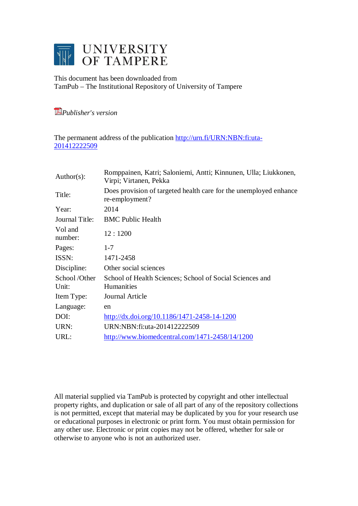

This document has been downloaded from TamPub – The Institutional Repository of University of Tampere

*Publisher's version* 

The permanent address of the publication [http://urn.fi/URN:NBN:fi:uta-](http://urn.fi/URN:NBN:fi:uta-201412222509)[201412222509](http://urn.fi/URN:NBN:fi:uta-201412222509)

| Romppainen, Katri; Saloniemi, Antti; Kinnunen, Ulla; Liukkonen,<br>Virpi; Virtanen, Pekka         |
|---------------------------------------------------------------------------------------------------|
| Does provision of targeted health care for the unemployed enhance<br>re-employment?               |
| 2014                                                                                              |
| <b>BMC Public Health</b>                                                                          |
| 12:1200                                                                                           |
| $1 - 7$                                                                                           |
| 1471-2458                                                                                         |
| Other social sciences                                                                             |
| School of Health Sciences; School of Social Sciences and<br>Humanities                            |
| Journal Article                                                                                   |
| en                                                                                                |
| $\frac{http://dx.doi.org/10.1186/1471-2458-14-1200}{http://dx.doi.org/10.1186/1471-2458-14-1200}$ |
| URN:NBN:fi:uta-201412222509                                                                       |
| http://www.biomedcentral.com/1471-2458/14/1200                                                    |
|                                                                                                   |

All material supplied via TamPub is protected by copyright and other intellectual property rights, and duplication or sale of all part of any of the repository collections is not permitted, except that material may be duplicated by you for your research use or educational purposes in electronic or print form. You must obtain permission for any other use. Electronic or print copies may not be offered, whether for sale or otherwise to anyone who is not an authorized user.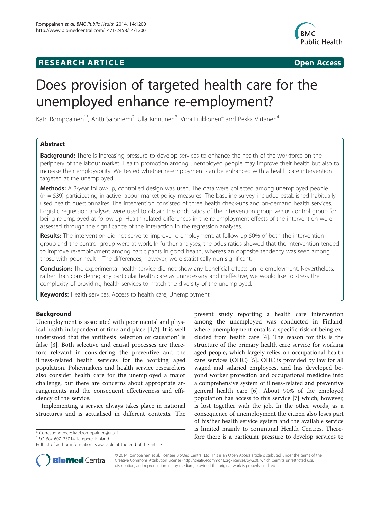# **RESEARCH ARTICLE Example 2018 12:00 Open Access**



# Does provision of targeted health care for the unemployed enhance re-employment?

Katri Romppainen<sup>1\*</sup>, Antti Saloniemi<sup>2</sup>, Ulla Kinnunen<sup>3</sup>, Virpi Liukkonen<sup>4</sup> and Pekka Virtanen<sup>4</sup>

# Abstract

**Background:** There is increasing pressure to develop services to enhance the health of the workforce on the periphery of the labour market. Health promotion among unemployed people may improve their health but also to increase their employability. We tested whether re-employment can be enhanced with a health care intervention targeted at the unemployed.

**Methods:** A 3-year follow-up, controlled design was used. The data were collected among unemployed people (n = 539) participating in active labour market policy measures. The baseline survey included established habitually used health questionnaires. The intervention consisted of three health check-ups and on-demand health services. Logistic regression analyses were used to obtain the odds ratios of the intervention group versus control group for being re-employed at follow-up. Health-related differences in the re-employment effects of the intervention were assessed through the significance of the interaction in the regression analyses.

Results: The intervention did not serve to improve re-employment: at follow-up 50% of both the intervention group and the control group were at work. In further analyses, the odds ratios showed that the intervention tended to improve re-employment among participants in good health, whereas an opposite tendency was seen among those with poor health. The differences, however, were statistically non-significant.

Conclusion: The experimental health service did not show any beneficial effects on re-employment. Nevertheless, rather than considering any particular health care as unnecessary and ineffective, we would like to stress the complexity of providing health services to match the diversity of the unemployed.

Keywords: Health services, Access to health care, Unemployment

# Background

Unemployment is associated with poor mental and physical health independent of time and place [\[1](#page-6-0),[2](#page-6-0)]. It is well understood that the antithesis 'selection or causation' is false [\[3\]](#page-6-0). Both selective and causal processes are therefore relevant in considering the preventive and the illness-related health services for the working aged population. Policymakers and health service researchers also consider health care for the unemployed a major challenge, but there are concerns about appropriate arrangements and the consequent effectiveness and efficiency of the service.

Implementing a service always takes place in national structures and is actualised in different contexts. The

<sup>1</sup>P.O Box 607, 33014 Tampere, Finland

Full list of author information is available at the end of the article

present study reporting a health care intervention among the unemployed was conducted in Finland, where unemployment entails a specific risk of being excluded from health care [[4\]](#page-6-0). The reason for this is the structure of the primary health care service for working aged people, which largely relies on occupational health care services (OHC) [\[5](#page-6-0)]. OHC is provided by law for all waged and salaried employees, and has developed beyond worker protection and occupational medicine into a comprehensive system of illness-related and preventive general health care [[6\]](#page-6-0). About 90% of the employed population has access to this service [[7](#page-6-0)] which, however, is lost together with the job. In the other words, as a consequence of unemployment the citizen also loses part of his/her health service system and the available service is limited mainly to communal Health Centres. There\* Correspondence: [katri.romppainen@uta.fi](mailto:katri.romppainen@uta.fi) **1986**<br><sup>1</sup>PO Box 607 33014 Tampere Finland<br>**1**PO Box 607 33014 Tampere Finland



© 2014 Romppainen et al.; licensee BioMed Central Ltd. This is an Open Access article distributed under the terms of the Creative Commons Attribution License (<http://creativecommons.org/licenses/by/2.0>), which permits unrestricted use, distribution, and reproduction in any medium, provided the original work is properly credited.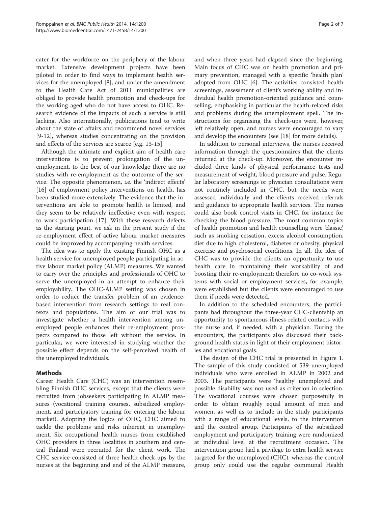cater for the workforce on the periphery of the labour market. Extensive development projects have been piloted in order to find ways to implement health services for the unemployed [[8\]](#page-7-0), and under the amendment to the Health Care Act of 2011 municipalities are obliged to provide health promotion and check-ups for the working aged who do not have access to OHC. Research evidence of the impacts of such a service is still lacking. Also internationally, publications tend to write about the state of affairs and recommend novel services [[9-12](#page-7-0)], whereas studies concentrating on the provision and effects of the services are scarce [e.g. [13-15](#page-7-0)].

Although the ultimate and explicit aim of health care interventions is to prevent prolongation of the unemployment, to the best of our knowledge there are no studies with re-employment as the outcome of the service. The opposite phenomenon, i.e. the 'indirect effects' [[16\]](#page-7-0) of employment policy interventions on health, has been studied more extensively. The evidence that the interventions are able to promote health is limited, and they seem to be relatively ineffective even with respect to work participation [[17](#page-7-0)]. With these research defects as the starting point, we ask in the present study if the re-employment effect of active labour market measures could be improved by accompanying health services.

The idea was to apply the existing Finnish OHC as a health service for unemployed people participating in active labour market policy (ALMP) measures. We wanted to carry over the principles and professionals of OHC to serve the unemployed in an attempt to enhance their employability. The OHC-ALMP setting was chosen in order to reduce the transfer problem of an evidencebased intervention from research settings to real contexts and populations. The aim of our trial was to investigate whether a health intervention among unemployed people enhances their re-employment prospects compared to those left without the service. In particular, we were interested in studying whether the possible effect depends on the self-perceived health of the unemployed individuals.

# Methods

Career Health Care (CHC) was an intervention resembling Finnish OHC services, except that the clients were recruited from jobseekers participating in ALMP measures (vocational training courses, subsidized employment, and participatory training for entering the labour market). Adopting the logics of OHC, CHC aimed to tackle the problems and risks inherent in unemployment. Six occupational health nurses from established OHC providers in three localities in southern and central Finland were recruited for the client work. The CHC service consisted of three health check-ups by the nurses at the beginning and end of the ALMP measure,

and when three years had elapsed since the beginning. Main focus of CHC was on health promotion and primary prevention, managed with a specific 'health plan' adopted from OHC [[6\]](#page-6-0). The activities consisted health screenings, assessment of client's working ability and individual health promotion-oriented guidance and counselling, emphasising in particular the health-related risks and problems during the unemployment spell. The instructions for organising the check-ups were, however, left relatively open, and nurses were encouraged to vary and develop the encounters (see [[18\]](#page-7-0) for more details).

In addition to personal interviews, the nurses received information through the questionnaires that the clients returned at the check-up. Moreover, the encounter included three kinds of physical performance tests and measurement of weight, blood pressure and pulse. Regular laboratory screenings or physician consultations were not routinely included in CHC, but the needs were assessed individually and the clients received referrals and guidance to appropriate health services. The nurses could also book control visits in CHC, for instance for checking the blood pressure. The most common topics of health promotion and health counselling were 'classic', such as smoking cessation, excess alcohol consumption, diet due to high cholesterol, diabetes or obesity, physical exercise and psychosocial conditions. In all, the idea of CHC was to provide the clients an opportunity to use health care in maintaining their workability of and boosting their re-employment; therefore no co-work systems with social or employment services, for example, were established but the clients were encouraged to use them if needs were detected.

In addition to the scheduled encounters, the participants had throughout the three-year CHC-clientship an opportunity to spontaneous illness related contacts with the nurse and, if needed, with a physician. During the encounters, the participants also discussed their background health status in light of their employment histories and vocational goals.

The design of the CHC trial is presented in Figure [1](#page-3-0). The sample of this study consisted of 539 unemployed individuals who were enrolled in ALMP in 2002 and 2003. The participants were 'healthy' unemployed and possible disability was not used as criterion in selection. The vocational courses were chosen purposefully in order to obtain roughly equal amount of men and women, as well as to include in the study participants with a range of educational levels, to the intervention and the control group. Participants of the subsidized employment and participatory training were randomized at individual level at the recruitment occasion. The intervention group had a privilege to extra health service targeted for the unemployed (CHC), whereas the control group only could use the regular communal Health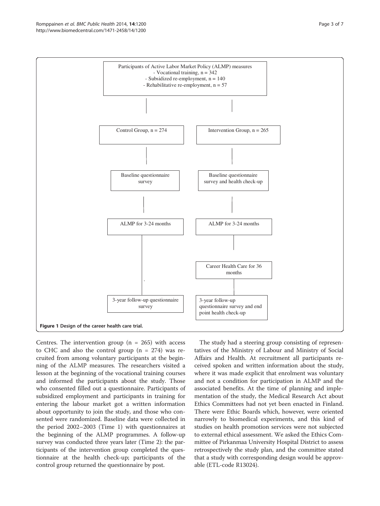<span id="page-3-0"></span>

Centres. The intervention group  $(n = 265)$  with access to CHC and also the control group  $(n = 274)$  was recruited from among voluntary participants at the beginning of the ALMP measures. The researchers visited a lesson at the beginning of the vocational training courses and informed the participants about the study. Those who consented filled out a questionnaire. Participants of subsidized employment and participants in training for entering the labour market got a written information about opportunity to join the study, and those who consented were randomized. Baseline data were collected in the period 2002–2003 (Time 1) with questionnaires at the beginning of the ALMP programmes. A follow-up survey was conducted three years later (Time 2): the participants of the intervention group completed the questionnaire at the health check-up; participants of the control group returned the questionnaire by post.

The study had a steering group consisting of representatives of the Ministry of Labour and Ministry of Social Affairs and Health. At recruitment all participants received spoken and written information about the study, where it was made explicit that enrolment was voluntary and not a condition for participation in ALMP and the associated benefits. At the time of planning and implementation of the study, the Medical Research Act about Ethics Committees had not yet been enacted in Finland. There were Ethic Boards which, however, were oriented narrowly to biomedical experiments, and this kind of studies on health promotion services were not subjected to external ethical assessment. We asked the Ethics Committee of Pirkanmaa University Hospital District to assess retrospectively the study plan, and the committee stated that a study with corresponding design would be approvable (ETL-code R13024).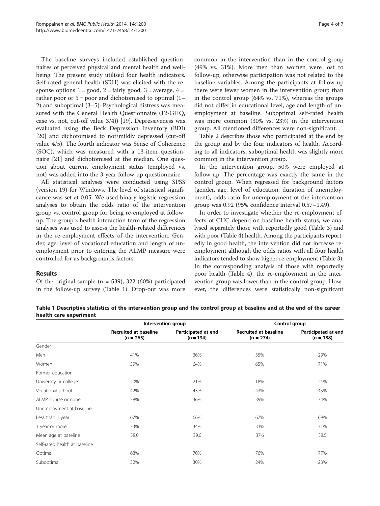The baseline surveys included established questionnaires of perceived physical and mental health and wellbeing. The present study utilised four health indicators. Self-rated general health (SRH) was elicited with the response options  $1 = \text{good}$ ,  $2 = \text{fairly good}$ ,  $3 = \text{average}$ ,  $4 =$ rather poor or  $5 =$  poor and dichotomised to optimal  $(1 -$ 2) and suboptimal (3–5). Psychological distress was measured with the General Health Questionnaire (12-GHQ, case vs. not, cut-off value 3/4)) [\[19\]](#page-7-0). Depressiveness was evaluated using the Beck Depression Inventory (BDI) [[20\]](#page-7-0) and dichotomised to not/mildly depressed (cut-off value 4/5). The fourth indicator was Sense of Coherence (SOC), which was measured with a 13-item questionnaire [[21](#page-7-0)] and dichotomised at the median. One question about current employment status (employed vs. not) was added into the 3-year follow-up questionnaire.

All statistical analyses were conducted using SPSS (version 19) for Windows. The level of statistical significance was set at 0.05. We used binary logistic regression analyses to obtain the odds ratio of the intervention group vs. control group for being re-employed at followup. The group  $\times$  health interaction term of the regression analyses was used to assess the health-related differences in the re-employment effects of the intervention. Gender, age, level of vocational education and length of unemployment prior to entering the ALMP measure were controlled for as backgrounds factors.

# Results

Of the original sample  $(n = 539)$ , 322 (60%) participated in the follow-up survey (Table 1). Drop-out was more

common in the intervention than in the control group (49% vs. 31%). More men than women were lost to follow-up, otherwise participation was not related to the baseline variables. Among the participants at follow-up there were fewer women in the intervention group than in the control group (64% vs. 71%), whereas the groups did not differ in educational level, age and length of unemployment at baseline. Suboptimal self-rated health was more common (30% vs. 23%) in the intervention group. All mentioned differences were non-significant.

Table [2](#page-5-0) describes those who participated at the end by the group and by the four indicators of health. According to all indicators, suboptimal health was slightly more common in the intervention group.

In the intervention group, 50% were employed at follow-up. The percentage was exactly the same in the control group. When regressed for background factors (gender, age, level of education, duration of unemployment), odds ratio for unemployment of the intervention group was 0.92 (95% confidence interval 0.57–1.49).

In order to investigate whether the re-employment effects of CHC depend on baseline health status, we analysed separately those with reportedly good (Table [3](#page-5-0)) and with poor (Table [4](#page-5-0)) health. Among the participants reportedly in good health, the intervention did not increase reemployment although the odds ratios with all four health indicators tended to show higher re-employment (Table [3](#page-5-0)). In the corresponding analysis of those with reportedly poor health (Table [4](#page-5-0)), the re-employment in the intervention group was lower than in the control group. However, the differences were statistically non-significant

Table 1 Descriptive statistics of the intervention group and the control group at baseline and at the end of the career health care experiment

|                               | Intervention group                          |                                    | Control group                               |                                    |
|-------------------------------|---------------------------------------------|------------------------------------|---------------------------------------------|------------------------------------|
|                               | <b>Recruited at baseline</b><br>$(n = 265)$ | Participated at end<br>$(n = 134)$ | <b>Recruited at baseline</b><br>$(n = 274)$ | Participated at end<br>$(n = 188)$ |
| Gender                        |                                             |                                    |                                             |                                    |
| Men                           | 41%                                         | 36%                                | 35%                                         | 29%                                |
| Women                         | 59%                                         | 64%                                | 65%                                         | 71%                                |
| Former education              |                                             |                                    |                                             |                                    |
| University or college         | 20%                                         | 21%                                | 18%                                         | 21%                                |
| Vocational school             | 42%                                         | 43%                                | 43%                                         | 45%                                |
| ALMP course or none           | 38%                                         | 36%                                | 39%                                         | 34%                                |
| Unemployment at baseline      |                                             |                                    |                                             |                                    |
| Less than 1 year              | 67%                                         | 66%                                | 67%                                         | 69%                                |
| 1 year or more                | 33%                                         | 34%                                | 33%                                         | 31%                                |
| Mean age at baseline          | 38.0                                        | 39.6                               | 37.6                                        | 38.5                               |
| Self-rated health at baseline |                                             |                                    |                                             |                                    |
| Optimal                       | 68%                                         | 70%                                | 76%                                         | 77%                                |
| Suboptimal                    | 32%                                         | 30%                                | 24%                                         | 23%                                |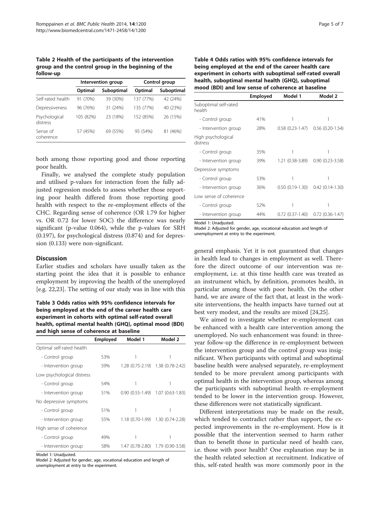<span id="page-5-0"></span>Table 2 Health of the participants of the intervention group and the control group in the beginning of the follow-up

|                           | Intervention group |            |           | Control group |
|---------------------------|--------------------|------------|-----------|---------------|
|                           | Optimal            | Suboptimal | Optimal   | Suboptimal    |
| Self-rated health         | 91 (70%)           | 39 (30%)   | 137 (77%) | 42 (24%)      |
| Depressiveness            | 96 (76%)           | 31 (24%)   | 135 (77%) | 40 (23%)      |
| Psychological<br>distress | 105 (82%)          | 23 (18%)   | 152 (85%) | 26 (15%)      |
| Sense of<br>coherence     | 57 (45%)           | 69 (55%)   | 95 (54%)  | 81 (46%)      |

both among those reporting good and those reporting poor health.

Finally, we analysed the complete study population and utilised p-values for interaction from the fully adjusted regression models to assess whether those reporting poor health differed from those reporting good health with respect to the re-employment effects of the CHC. Regarding sense of coherence (OR 1.79 for higher vs. OR 0.72 for lower SOC) the difference was nearly significant (p-value 0.064), while the p-values for SRH (0.197), for psychological distress (0.874) and for depression (0.133) were non-significant.

### **Discussion**

Earlier studies and scholars have usually taken as the starting point the idea that it is possible to enhance employment by improving the health of the unemployed [e.g. [22,23\]](#page-7-0). The setting of our study was in line with this

# Table 3 Odds ratios with 95% confidence intervals for being employed at the end of the career health care experiment in cohorts with optimal self-rated overall health, optimal mental health (GHQ), optimal mood (BDI) and high sense of coherence at baseline

|                            | <b>Employed</b> | Model 1           | Model 2             |
|----------------------------|-----------------|-------------------|---------------------|
| Optimal self-rated health  |                 |                   |                     |
| - Control group            | 53%             |                   |                     |
| - Intervention group       | 59%             | 1.28 (0.75-2.19)  | 1.38 (0.78-2.42)    |
| Low psychological distress |                 |                   |                     |
| - Control group            | 54%             |                   |                     |
| - Intervention group       | 51%             | $0.90(0.55-1.49)$ | $1.07(0.63 - 1.83)$ |
| No depressive symptoms     |                 |                   |                     |
| - Control group            | 51%             |                   |                     |
| - Intervention group       | 55%             | 1.18 (0.70-1.99)  | 1.30 (0.74-2.28)    |
| High sense of coherence    |                 |                   |                     |
| - Control group            | 49%             |                   |                     |
| - Intervention group       | 58%             | 1.47 (0.78-2.80)  | 1.79 (0.90-3.58)    |

Model 1: Unadjusted.

Model 2: Adjusted for gender, age, vocational education and length of unemployment at entry to the experiment.

Table 4 Odds ratios with 95% confidence intervals for being employed at the end of the career health care experiment in cohorts with suboptimal self-rated overall health, suboptimal mental health (GHQ), suboptimal mood (BDI) and low sense of coherence at baseline

|                                 | Employed | Model 1                | Model 2                |
|---------------------------------|----------|------------------------|------------------------|
| Suboptimal self-rated<br>health |          |                        |                        |
| - Control group                 | 41%      |                        |                        |
| - Intervention group            | 28%      | $0.58(0.23-1.47)$      | $0.56(0.20-1.54)$      |
| High psychological<br>distress  |          |                        |                        |
| - Control group                 | 35%      |                        |                        |
| - Intervention group            | 39%      | 1.21 (0.38-3.89)       | $0.90(0.23 - 3.58)$    |
| Depressive symptoms             |          |                        |                        |
| - Control group                 | 53%      |                        |                        |
| - Intervention group            | 36%      | $0.50(0.19-1.30)$      | $0.42(0.14-1.30)$      |
| Low sense of coherence          |          |                        |                        |
| - Control group                 | 52%      |                        |                        |
| - Intervention group            | 44%      | $0.72$ $(0.37 - 1.40)$ | $0.72$ $(0.36 - 1.47)$ |

Model 1: Unadjusted.

Model 2: Adjusted for gender, age, vocational education and length of unemployment at entry to the experiment.

general emphasis. Yet it is not guaranteed that changes in health lead to changes in employment as well. Therefore the direct outcome of our intervention was reemployment, i.e. at this time health care was treated as an instrument which, by definition, promotes health, in particular among those with poor health. On the other hand, we are aware of the fact that, at least in the worksite interventions, the health impacts have turned out at best very modest, and the results are mixed [\[24,25](#page-7-0)].

We aimed to investigate whether re-employment can be enhanced with a health care intervention among the unemployed. No such enhancement was found: in threeyear follow-up the difference in re-employment between the intervention group and the control group was insignificant. When participants with optimal and suboptimal baseline health were analysed separately, re-employment tended to be more prevalent among participants with optimal health in the intervention group, whereas among the participants with suboptimal health re-employment tended to be lower in the intervention group. However, these differences were not statistically significant.

Different interpretations may be made on the result, which tended to contradict rather than support, the expected improvements in the re-employment. How is it possible that the intervention seemed to harm rather than to benefit those in particular need of health care, i.e. those with poor health? One explanation may be in the health related selection at recruitment. Indicative of this, self-rated health was more commonly poor in the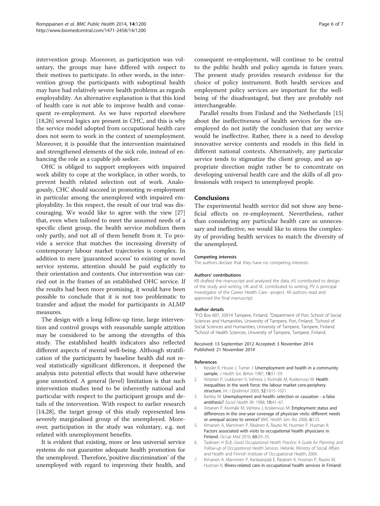<span id="page-6-0"></span>intervention group. Moreover, as participation was voluntary, the groups may have differed with respect to their motives to participate. In other words, in the intervention group the participants with suboptimal health may have had relatively severe health problems as regards employability. An alternative explanation is that this kind of health care is not able to improve health and consequent re-employment. As we have reported elsewhere [[18,26\]](#page-7-0) several logics are present in CHC, and this is why the service model adopted from occupational health care does not seem to work in the context of unemployment. Moreover, it is possible that the intervention maintained and strengthened elements of the sick role, instead of enhancing the role as a capable job seeker.

OHC is obliged to support employees with impaired work ability to cope at the workplace, in other words, to prevent health related selection out of work. Analogously, CHC should succeed in promoting re-employment in particular among the unemployed with impaired employability. In this respect, the result of our trial was discouraging. We would like to agree with the view [[27](#page-7-0)] that, even when tailored to meet the assumed needs of a specific client group, the health service mobilizes them only partly, and not all of them benefit from it. To provide a service that matches the increasing diversity of contemporary labour market trajectories is complex. In addition to mere 'guaranteed access' to existing or novel service systems, attention should be paid explicitly to their orientation and contents. Our intervention was carried out in the frames of an established OHC service. If the results had been more promising, it would have been possible to conclude that it is not too problematic to transfer and adjust the model for participants in ALMP measures.

The design with a long follow-up time, large intervention and control groups with reasonable sample attrition may be considered to be among the strengths of this study. The established health indicators also reflected different aspects of mental well-being. Although stratification of the participants by baseline health did not reveal statistically significant differences, it deepened the analysis into potential effects that would have otherwise gone unnoticed. A general (level) limitation is that such intervention studies tend to be inherently national and particular with respect to the participant groups and details of the intervention. With respect to earlier research [[14,28\]](#page-7-0), the target group of this study represented less severely marginalised group of the unemployed. Moreover, participation in the study was voluntary, e.g. not related with unemployment benefits.

It is evident that existing, more or less universal service systems do not guarantee adequate health promotion for the unemployed. Therefore, 'positive discrimination' of the unemployed with regard to improving their health, and consequent re-employment, will continue to be central to the public health and policy agenda in future years. The present study provides research evidence for the choice of policy instrument. Both health services and employment policy services are important for the wellbeing of the disadvantaged, but they are probably not interchangeable.

Parallel results from Finland and the Netherlands [[15](#page-7-0)] about the ineffectiveness of health services for the unemployed do not justify the conclusion that any service would be ineffective. Rather, there is a need to develop innovative service contents and models in this field in different national contexts. Alternatively, any particular service tends to stigmatize the client group, and an appropriate direction might rather be to concentrate on developing universal health care and the skills of all professionals with respect to unemployed people.

#### Conclusions

The experimental health service did not show any beneficial effects on re-employment. Nevertheless, rather than considering any particular health care as unnecessary and ineffective, we would like to stress the complexity of providing health services to match the diversity of the unemployed.

#### Competing interests

The authors declare that they have no competing interests.

#### Authors' contributions

KR drafted the manuscript and analysed the data, AS contributed to design of the study and writing, UK and VL contributed to writing, PV is principal investigator of the Career Health Care –project. All authors read and approved the final manuscript.

#### Author details

<sup>1</sup>P.O Box 607, 33014 Tampere, Finland. <sup>2</sup>Department of Pori, School of Social Sciences and Humanities, University of Tampere, Pori, Finland. <sup>3</sup>School of Social Sciences and Humanities, University of Tampere, Tampere, Finland. 4 School of Health Sciences, University of Tampere, Tampere, Finland.

#### Received: 13 September 2012 Accepted: 3 November 2014 Published: 21 November 2014

#### References

- 1. Kessler R, House J, Turner J: Unemployment and health in a community sample. J Health Soc Behav 1987, 18:51-59.
- 2. Virtanen P, Liukkonen V, Vahtera J, Kivimäki M, Koskenvuo M: Health inequalities in the work force: the labour market core-periphery structure. Int J Epidemiol 2003, 32:1015–1021.
- 3. Bartley M: Unemployment and health: selection or causation a false antithesis? Sociol Health Illn 1988, 10:41-67.
- 4. Virtanen P, Kivimäki M, Vahtera J, Koskenvuo M: Employment status and differences in the one-year coverage of physician visits: different needs or unequal access to service? BMC Health Serv Res 2006, 6:123.
- 5. Kimanen A, Manninen P, Räsänen K, Rautio M, Husman P, Husman K: Factors associated with visits to occupational health physicians in Finland. Occup Med 2010, 60:29–35.
- 6. Taskinen H (Ed): Good Occupational Health Practice: A Guide for Planning and Follow-up of Occupational Health Services. Helsinki: Ministry of Social Affairs and Health and Finnish Institute of Occupational Health; 2004.
- 7. Kimanen A, Manninen P, Kankaanpää E, Räsänen K, Husman P, Rautio M, Husman K: Illness-related care in occupational health services in Finland: